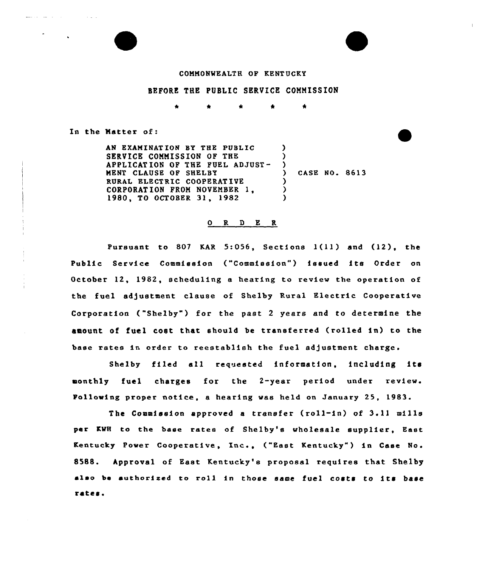#### COMMONWEALTH OR KENTUCKY

### BEFORE THE PUBLIC SERVICE COMMISSION

 $\bullet$ 

In the Matter of:

and the company of the company

 $\sim 100$  km  $^{-1}$ 

AN EXAMINATION BY THE PUBLIC SERVICE COMMISSION OF THE APPLICATION OF THE FUEL ADJUST-MENT CLAUSE OF SHELBY RURAL ELECTRIC COOPERATIVE CORPORAT ION FROM NOVEMBER 1, 1980, TO OCTOBER 31, 1982  $\lambda$  $\lambda$  $\left\{ \right\}$ ) CASE NO. 8613  $\lambda$ )  $\lambda$ 

#### 0 R <sup>D</sup> E R

Pursuant to <sup>807</sup> KAR 5:056, Sections 1(1<sup>1</sup> ) and (12), the Public Service Commission ("Commission") issued its Order on October 12, 1982, scheduling e hearing to review the operation of the fuel adjustment clause of Shelby Rural Electric Cooperative Corporation ("Shelby" ) for the past <sup>2</sup> years and to determine the amount of fuel cost that should be transferred (rolled in) to the base rates in order to reestablish the fuel adjustment charge.

Shelby filed all requested information, including its monthly fuel charges for the 2-year period under review. Following proper notice, a hearing was held on January 25, 1983.

The Commission approved a transfer (roll-in) of 3.11 mills per KWH to the base rates of Shelby's wholesale supplier, East Kentucky Power Cooperative, Inc., ("East Kentucky") in Case No. 8588. Approval of East Kentucky's proposal requires that Shelby also be authorized to roll in those same fuel costs to its base rates'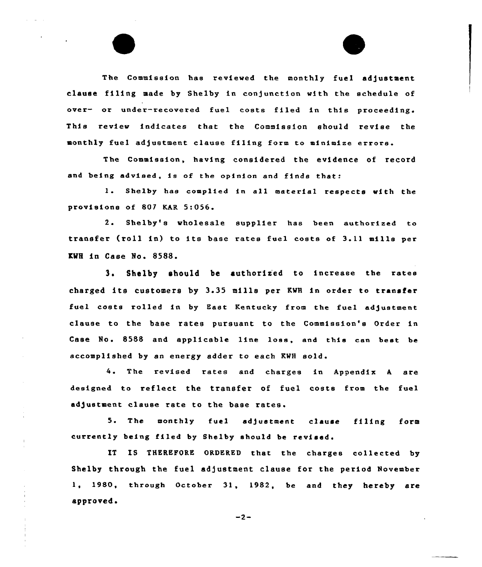The Commission has reviewed the monthly fuel adjustment clause filing made by Shelby in conjunction with the schedule of over- or under-recovered fuel costs filed in this proceeding. This review indicates that the Commission should revise the monthly fuel adjustment clause filing form to minimize errors.

The Commission, having considered the evidence of record and being advised, is of the opinion and finds that:

1. Shelby has complied in all material respects with the provisions of 807 KAR 5:056

2. Shelby's wholesale supplier has been authorized to transfer (roll in) to its base rates fuel costs of 3.11 mills per KWH in Case No. 8588.

3. Shelby should be authorized to increase the rates charged its customers by 3.35 mills per KWH in order to transfer fuel costs rolled in by East Kentucky from the fuel ad)ustment clause to the base rates pursuant to the Commission's Order in Case No. 8588 and applicable line loss, and this can best be accomplished by an energy adder to each KWH sold'

4. The revised rates and charges in Appendix A are designed to reflect the transfer of fuel costs from the fuel adjustment clause rate to the base rates.

5. The monthly fuel ad)ustment clause filing form currently being filed by Shelby should be revised.

IT IS THEREFORE ORDERED that the charges collected by Shelby through the fuel ad)ustment clause for the period November 1, 1980, through October 31, 1982, be and they hereby are approved.

 $-2-$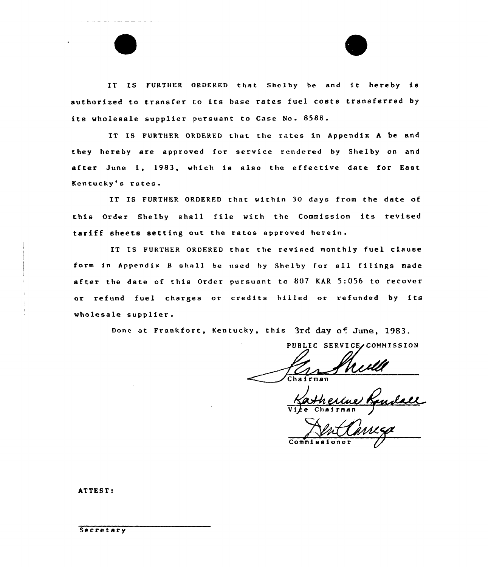IT IS FURTHER ORDERED that Shelby be and it hereby is authorized to transfer to its base rates fuel costs transferred by its wholesale supplier pursuant to Case No. 8588.

IT IS FURTHER ORDERED that the rates in Appendix <sup>A</sup> be and they hereby are approved for service rendered by Shelby on and after June 1, 1983, which is also the effective date for East Kentucky's rates.

IT IS FURTHER ORDERFD that within 30 days from the date of this Order Shelby shall file with the Commission its revised tariff sheets setting out the rates approved herein.

IT IS FURTHER ORDFRED that the revised monthly fuel clause form in Appendix <sup>B</sup> ahal1 be used hy Shelby for all filings made after the date of this Order pursuant to 807 KAR 5:056 to recover or refund fuel charges or credits billed or refunded by its wholesale supplier.

Done at Frankfort, Kentucky, this 3rd day of June, 1983.

PUBLIC SERVICE COMMISSION Chairman

 $e$ Vi*j*e Chairman

Commissioner

ATTEST: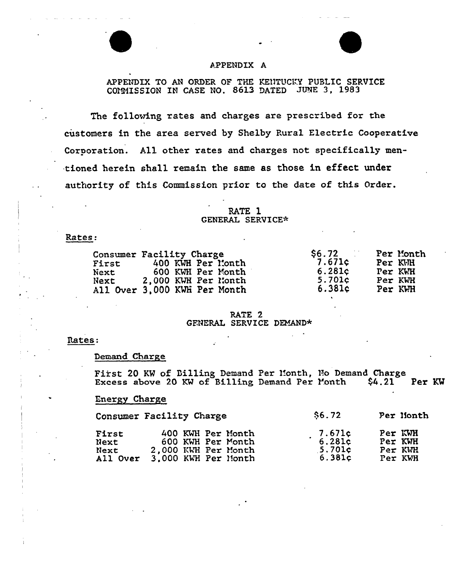

# APPENDIX A

APPENDIX TO AN ORDER OF THE KENTUCKY PUBLIC SERVICE COMMISSION IN CASE NO. 8613 DATED JUNE 3, 1983

The following rates and charges are prescribed for the customers in the area served by Shelby Rural Electric Cooperative Corporation. All other rates and charges not specifically mentioned herein shall remain the same as those in effect under authority of this Commission prior to the date of this Order.

> RATE 1 GENERAL SERVICE\*

### Rates:

| First<br>Next<br>Next | Consumer Facility Charge<br>400 KWH Per Month<br>600 KWH Per Month<br>2,000 KWH Per Month | \$6.72<br>7.671c<br>6.281c<br>5.701c | Per Month<br>Per KVH<br>Per KWH<br>Per KWH |
|-----------------------|-------------------------------------------------------------------------------------------|--------------------------------------|--------------------------------------------|
|                       | All Over 3,000 KWH Per Month                                                              | 6.381c                               | Per KWH                                    |

### RATE<sub>2</sub> GENERAL SERVICE DEMAND\*

### Rates:

### Demand Charge

First 20 KW of Billing Demand Per Month, No Demand Charge Excess above 20 KW of Billing Demand Per Month  $$4.21$ Per KW

## Energy Charge

|                                    | Consumer Facility Charge                                                             | \$6.72                                                              | Per Month                                |
|------------------------------------|--------------------------------------------------------------------------------------|---------------------------------------------------------------------|------------------------------------------|
| First<br>Next<br>Next.<br>All Over | 400 KWH Per Month<br>600 KWH Per Month<br>2,000 KWH Per Month<br>3.000 KWH Per Month | $\begin{array}{c} 7.671c \\ 6.281c \end{array}$<br>5.701c<br>6.381c | Per KWH<br>Per KWH<br>Per KWH<br>Per KWH |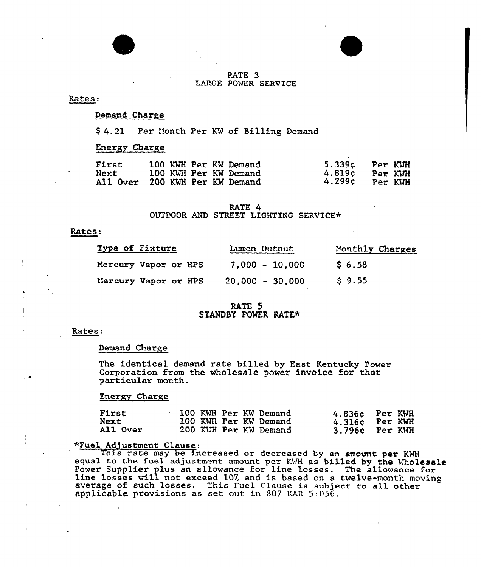### FATE 3 LARGE POWER SERVICE

Rates:

## Demand Charge

\$ 4.21 Per 1'onth Per KM of Billing Demand

# Energy Chaxge

| First<br>Next<br>All Over 200 KWH Per KW Demand | 100 KWH Per KW Demand<br>100 KWH Per KW Demand | 5.339c Per KWH<br>4.819c<br>4.299c | Per KWH<br>Per KWH |
|-------------------------------------------------|------------------------------------------------|------------------------------------|--------------------|

### RATE 4 OUTDOOR AND STREET LIGHTING SERVICE\*

#### Rates:

| Type of Fixture      | Lumen Output      | Monthly Charges |
|----------------------|-------------------|-----------------|
| Mercury Vapor or HPS | $7,000 - 10,000$  | \$6.58          |
| Mercury Vapor or HPS | $20,000 - 30,000$ | \$9.55          |

### PATE 5 STANDBY POWER RATE\*

### Rates:

#### Demand Charge

The identical demand rate billed by East Kentucky Power Corporation from the wholesale power invoice for that particular month.

Energy Charge

| <b>First</b><br>Next<br>All Over |  | 100 KWH Per KW Demand<br>100 KWH Per KW Demand<br>200 KIM Per KW Demand |  | 4.836c Per KWH<br>4.316c Per KWH<br>3.796c Per KWH |
|----------------------------------|--|-------------------------------------------------------------------------|--|----------------------------------------------------|
|----------------------------------|--|-------------------------------------------------------------------------|--|----------------------------------------------------|

### «Fuel Ad]ustment Clause:

This rate may be increased or decreased by an amount per KWH equal to the fuel adjustment amount per KWH as billed by the Wholesale Power Supplier plus an allowance for line losses. The allowance for line losses will not exceed 10% and is based on a twelve-month moving average of such losses. This Fuel Clause is subject to all other applicable provisions as set out in 807 KAR 5:056.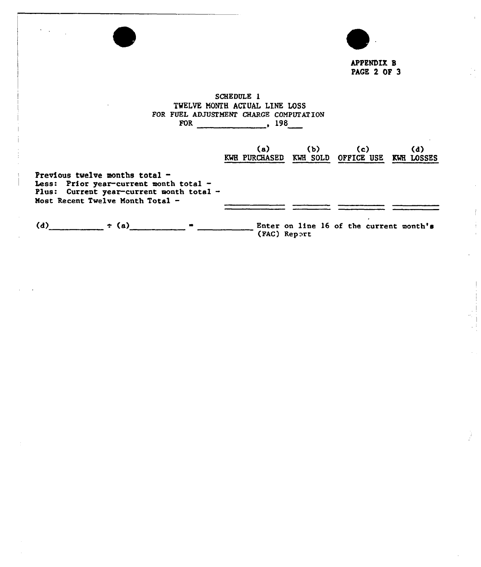

APPENDIX I PAGE 2 OF 3

# SCHEDULE 1 TWELVE MONTH ACTUAL LINE LOSS FOR FUEL ADJUSTMENT CHARGE COMPUTATION FOR 198

|                                                                                                                                                              | (a)<br><b>KWH PURCHASED</b> | (b) | (c)<br>KWH SOLD OFFICE USE              | (d)<br>KWH LOSSES |
|--------------------------------------------------------------------------------------------------------------------------------------------------------------|-----------------------------|-----|-----------------------------------------|-------------------|
| Previous twelve months total -<br>Less: Prior year-current month total $-$<br>Plus: Current year-current month total -<br>Most Recent Twelve Month Total $-$ |                             |     |                                         |                   |
| (d)<br>$\div$ (a)                                                                                                                                            | (FAC) Report                |     | Enter on line 16 of the current month's |                   |